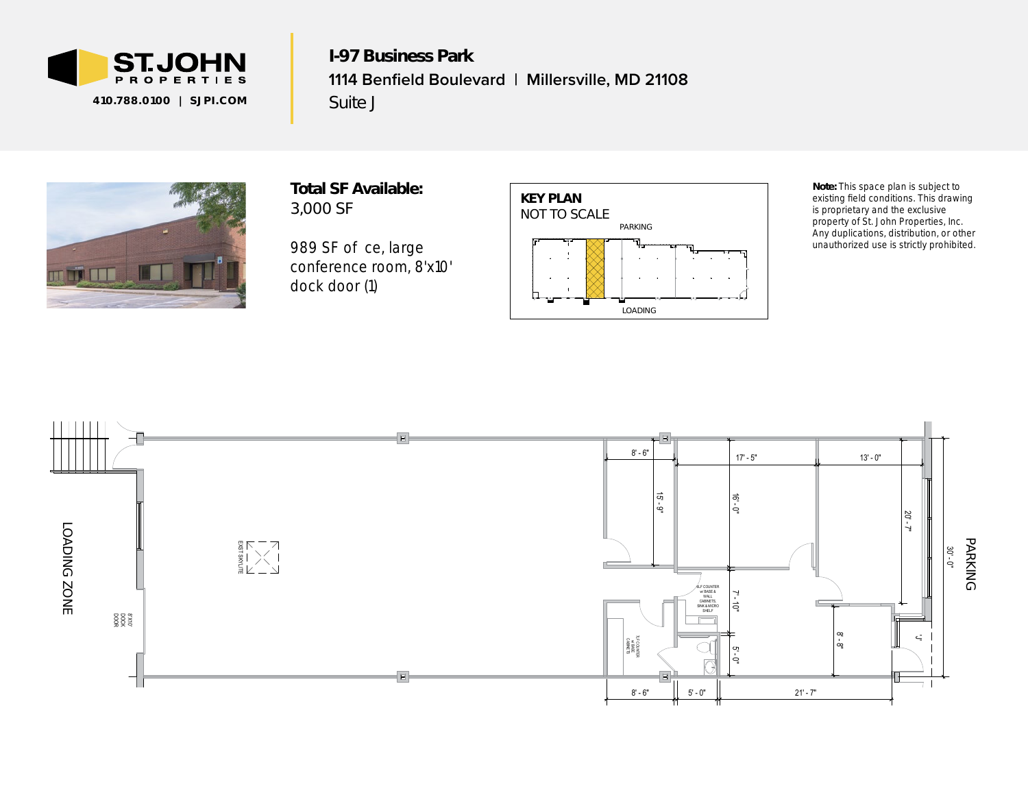

I-97 Business Park **1114 Benfield Boulevard | Millersville, MD 21108** Suite J



Total SF Available: 3,000 SF

989 SF o ce, large conference room, 8'x10' *dock door (1)* 



*Note: This space plan is subject to existing field conditions. This drawing is proprietary and the exclusive property of St. John Properties, Inc. Any duplications, distribution, or other unauthorized use is strictly prohibited.*